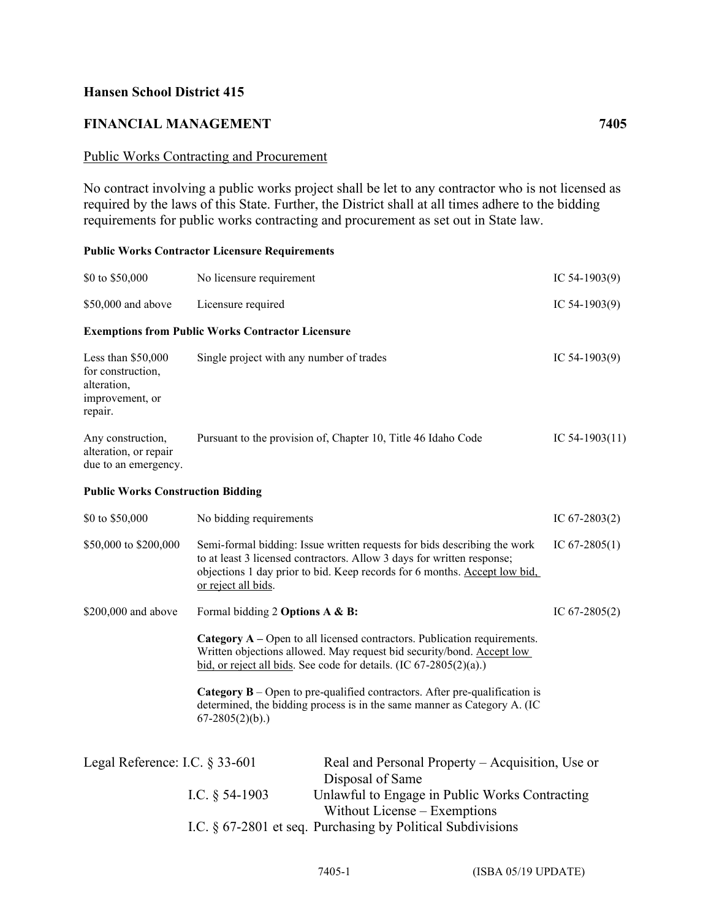## **Hansen School District 415**

## **FINANCIAL MANAGEMENT 7405**

## Public Works Contracting and Procurement

No contract involving a public works project shall be let to any contractor who is not licensed as required by the laws of this State. Further, the District shall at all times adhere to the bidding requirements for public works contracting and procurement as set out in State law.

## **Public Works Contractor Licensure Requirements**

| \$0 to \$50,000                                                                      | No licensure requirement                                                                                                                                                                                                                               |                                                                      | IC $54-1903(9)$  |
|--------------------------------------------------------------------------------------|--------------------------------------------------------------------------------------------------------------------------------------------------------------------------------------------------------------------------------------------------------|----------------------------------------------------------------------|------------------|
| \$50,000 and above                                                                   | Licensure required                                                                                                                                                                                                                                     |                                                                      | IC $54-1903(9)$  |
|                                                                                      | <b>Exemptions from Public Works Contractor Licensure</b>                                                                                                                                                                                               |                                                                      |                  |
| Less than \$50,000<br>for construction,<br>alteration,<br>improvement, or<br>repair. | Single project with any number of trades                                                                                                                                                                                                               |                                                                      | IC $54-1903(9)$  |
| Any construction,<br>alteration, or repair<br>due to an emergency.                   | Pursuant to the provision of, Chapter 10, Title 46 Idaho Code                                                                                                                                                                                          |                                                                      | IC $54-1903(11)$ |
| <b>Public Works Construction Bidding</b>                                             |                                                                                                                                                                                                                                                        |                                                                      |                  |
| \$0 to \$50,000                                                                      | No bidding requirements                                                                                                                                                                                                                                |                                                                      | IC $67-2803(2)$  |
| \$50,000 to \$200,000                                                                | Semi-formal bidding: Issue written requests for bids describing the work<br>to at least 3 licensed contractors. Allow 3 days for written response;<br>objections 1 day prior to bid. Keep records for 6 months. Accept low bid.<br>or reject all bids. |                                                                      | IC $67-2805(1)$  |
| \$200,000 and above                                                                  | Formal bidding 2 Options A & B:                                                                                                                                                                                                                        |                                                                      | IC $67-2805(2)$  |
|                                                                                      | Category A – Open to all licensed contractors. Publication requirements.<br>Written objections allowed. May request bid security/bond. Accept low<br>bid, or reject all bids. See code for details. $(IC 67-2805(2)(a))$                               |                                                                      |                  |
|                                                                                      | <b>Category B</b> – Open to pre-qualified contractors. After pre-qualification is<br>determined, the bidding process is in the same manner as Category A. (IC<br>$67-2805(2)(b)$ .)                                                                    |                                                                      |                  |
| Legal Reference: I.C. § 33-601                                                       |                                                                                                                                                                                                                                                        | Real and Personal Property – Acquisition, Use or<br>Disposal of Same |                  |
|                                                                                      | Unlawful to Engage in Public Works Contracting<br>I.C. $\S$ 54-1903<br>Without License – Exemptions                                                                                                                                                    |                                                                      |                  |
|                                                                                      |                                                                                                                                                                                                                                                        | I.C. § 67-2801 et seq. Purchasing by Political Subdivisions          |                  |